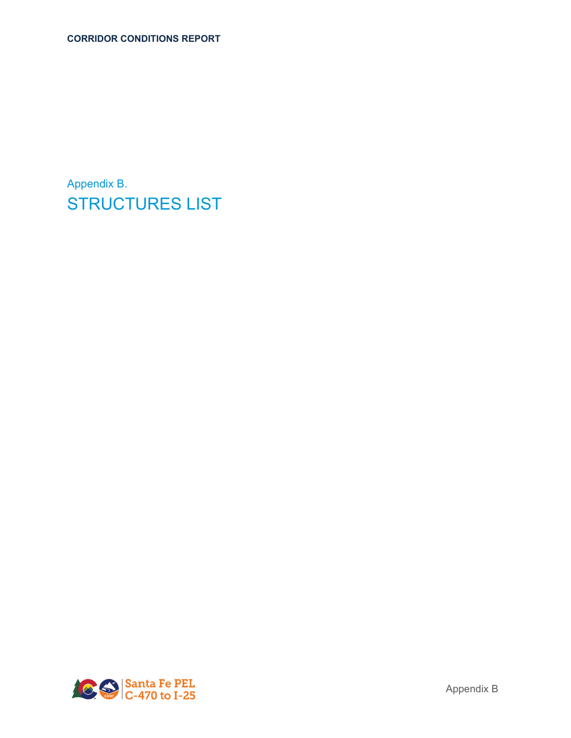Appendix B. STRUCTURES LIST